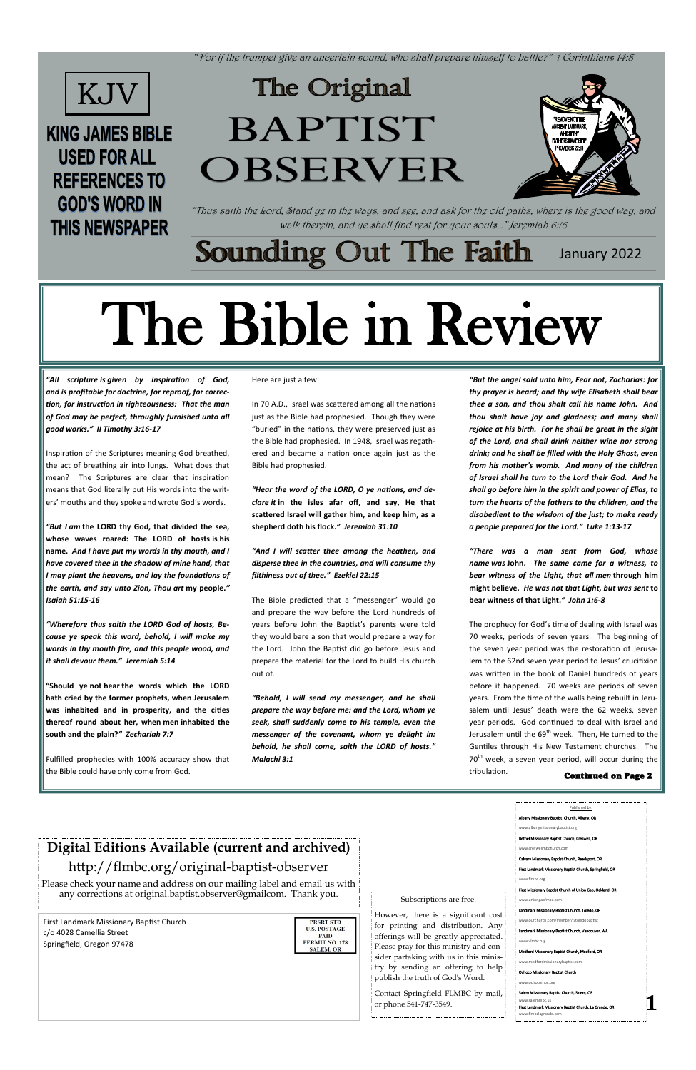"For if the trumpet give an uncertain sound, who shall prepare himself to battle?" 1 Corinthians 14:8

### **Sounding Out The Faith** January 2022

"Thus saith the Lord, Stand ye in the ways, and see, and ask for the old paths, where is the good way, and walk therein, and ye shall find rest for your souls…" Jeremiah 6:16

> Subscriptions are free. However, there is a significant cost for printing and distribution. Any offerings will be greatly appreciated. Please pray for this ministry and consider partaking with us in this ministry by sending an offering to help publish the truth of God's Word. Contact Springfield FLMBC by mail, or phone 541-747-3549. Published by: Albany Missionary Baptist Church, Albany, OR www.albanymissionarybaptist.org Bethel Missionary Baptist Church, Creswell, OR www.creswellmbchurch.com Calvary Missionary Baptist Church, Reedsport, OR First Landmark Missionary Baptist Church, Springfield, OR www.flmbc.org First Missionary Baptist Church of Union Gap, Oa ongapfmbc.com Landmark Missionary Baptist Church, Toledo, OR www.ourchurch.com/member/t/toledobaptist Landmark Missionary Baptist Church, Vancouver, WA www.vlmbc.org Medford Missionary Baptist Church, Medford, OR www.medfordmissionarybaptist.com onary Baptist Ch ochocombc.org Salem Missionary Baptist Church, Sa www.salemmbc.us First Landmark Miss saiem Missionary Baptist Church, Saiem, OK<br>www.salemmbc.us<br>First Landmark Missionary Baptist Church, La Grande, OR<br>www.flmbclagrande.com



# **KING JAMES BIBLE USED FOR ALL REFERENCES TO GOD'S WORD IN THIS NEWSPAPER**

# The Original BAPTIST **OBSERVER**



First Landmark Missionary Baptist Church c/o 4028 Camellia Street Springfield, Oregon 97478

**PRSRT STD U.S. POSTAGE PAID** PERMIT NO. 178 **SALEM, OR** 

# **Digital Editions Available (current and archived)**

## http://flmbc.org/original-baptist-observer

Please check your name and address on our mailing label and email us with any corrections at original.baptist.observer@gmailcom. Thank you.

*"All scripture is [given by inspiration of God,](https://www.kingjamesbibleonline.org/2-Timothy-3-16/)  and is [profitable for doctrine, for reproof, for correc](https://www.kingjamesbibleonline.org/2-Timothy-3-16/)[tion, for instruction in righteousness:](https://www.kingjamesbibleonline.org/2-Timothy-3-16/) [That the man](https://www.kingjamesbibleonline.org/2-Timothy-3-17/)  [of God may be perfect, throughly furnished unto all](https://www.kingjamesbibleonline.org/2-Timothy-3-17/)  [good works.](https://www.kingjamesbibleonline.org/2-Timothy-3-17/)" II Timothy 3:16-17*

Inspiration of the Scriptures meaning God breathed, the act of breathing air into lungs. What does that mean? The Scriptures are clear that inspiration means that God literally put His words into the writers' mouths and they spoke and wrote God's words.

*"But I am* **[the LORD thy God, that divided the sea,](https://www.kingjamesbibleonline.org/Isaiah-51-15/)  [whose waves roared: The LORD of hosts](https://www.kingjamesbibleonline.org/Isaiah-51-15/) is his [name.](https://www.kingjamesbibleonline.org/Isaiah-51-15/)** *[And I have put my words in thy mouth, and I](https://www.kingjamesbibleonline.org/Isaiah-51-16/)  [have covered thee in the shadow of mine hand, that](https://www.kingjamesbibleonline.org/Isaiah-51-16/)  [I may plant the heavens, and lay the foundations of](https://www.kingjamesbibleonline.org/Isaiah-51-16/)  [the earth, and say unto Zion, Thou](https://www.kingjamesbibleonline.org/Isaiah-51-16/) art* **my people.***" Isaiah 51:15-16*

> The prophecy for God's time of dealing with Israel was 70 weeks, periods of seven years. The beginning of the seven year period was the restoration of Jerusalem to the 62nd seven year period to Jesus' crucifixion was written in the book of Daniel hundreds of years before it happened. 70 weeks are periods of seven years. From the time of the walls being rebuilt in Jerusalem until Jesus' death were the 62 weeks, seven year periods. God continued to deal with Israel and Jerusalem until the  $69<sup>th</sup>$  week. Then, He turned to the Gentiles through His New Testament churches. The  $70<sup>th</sup>$  week, a seven year period, will occur during the

*"[Wherefore thus saith the LORD God of hosts, Be](https://www.kingjamesbibleonline.org/Jeremiah-5-14/)[cause ye speak this word, behold, I will make my](https://www.kingjamesbibleonline.org/Jeremiah-5-14/)  [words in thy mouth fire, and this people wood, and](https://www.kingjamesbibleonline.org/Jeremiah-5-14/)  [it shall devour them.](https://www.kingjamesbibleonline.org/Jeremiah-5-14/)" Jeremiah 5:14*

**"Should ye not hear [the words which the LORD](https://www.kingjamesbibleonline.org/Zechariah-7-7/)  [hath cried by the former prophets, when Jerusalem](https://www.kingjamesbibleonline.org/Zechariah-7-7/)  [was inhabited and in prosperity, and the cities](https://www.kingjamesbibleonline.org/Zechariah-7-7/)  [thereof round about her, when](https://www.kingjamesbibleonline.org/Zechariah-7-7/) men inhabited the [south and the plain?](https://www.kingjamesbibleonline.org/Zechariah-7-7/)***" Zechariah 7:7*

Fulfilled prophecies with 100% accuracy show that

#### Here are just a few:

In 70 A.D., Israel was scattered among all the nations just as the Bible had prophesied. Though they were "buried" in the nations, they were preserved just as the Bible had prophesied. In 1948, Israel was regathered and became a nation once again just as the Bible had prophesied.

*"[Hear the word of the LORD, O ye nations, and de](https://www.kingjamesbibleonline.org/Jeremiah-31-10/)clare it* **[in the isles afar off, and say, He that](https://www.kingjamesbibleonline.org/Jeremiah-31-10/)  [scattered Israel will gather him, and keep him, as a](https://www.kingjamesbibleonline.org/Jeremiah-31-10/)  [shepherd](https://www.kingjamesbibleonline.org/Jeremiah-31-10/) doth his flock.***" Jeremiah 31:10*

*"[And I will scatter thee among the heathen, and](https://www.kingjamesbibleonline.org/Ezekiel-22-15/)  [disperse thee in the countries, and will consume thy](https://www.kingjamesbibleonline.org/Ezekiel-22-15/)  [filthiness out of thee.](https://www.kingjamesbibleonline.org/Ezekiel-22-15/)" Ezekiel 22:15*

The Bible predicted that a "messenger" would go and prepare the way before the Lord hundreds of years before John the Baptist's parents were told they would bare a son that would prepare a way for the Lord. John the Baptist did go before Jesus and prepare the material for the Lord to build His church out of.

*"[Behold, I will send my messenger, and he shall](https://www.kingjamesbibleonline.org/Malachi-3-1/)  [prepare the way before me: and the Lord, whom ye](https://www.kingjamesbibleonline.org/Malachi-3-1/)  [seek, shall suddenly come to his temple, even the](https://www.kingjamesbibleonline.org/Malachi-3-1/)  [messenger of the covenant, whom ye delight in:](https://www.kingjamesbibleonline.org/Malachi-3-1/)  [behold, he shall come, saith the LORD of hosts.](https://www.kingjamesbibleonline.org/Malachi-3-1/)" Malachi 3:1*

*"[But the angel said unto him, Fear not, Zacharias: for](https://www.kingjamesbibleonline.org/Luke-1-13/)  [thy prayer is heard; and thy wife Elisabeth shall bear](https://www.kingjamesbibleonline.org/Luke-1-13/)  [thee a son, and thou shalt call his name John.](https://www.kingjamesbibleonline.org/Luke-1-13/) [And](https://www.kingjamesbibleonline.org/Luke-1-14/)  [thou shalt have joy and gladness; and many shall](https://www.kingjamesbibleonline.org/Luke-1-14/)  [rejoice at his birth.](https://www.kingjamesbibleonline.org/Luke-1-14/) [For he shall be great in the sight](https://www.kingjamesbibleonline.org/Luke-1-15/)  [of the Lord, and shall drink neither wine nor strong](https://www.kingjamesbibleonline.org/Luke-1-15/)  [drink; and he shall be filled with the Holy Ghost, even](https://www.kingjamesbibleonline.org/Luke-1-15/)  [from his mother's womb.](https://www.kingjamesbibleonline.org/Luke-1-15/) [And many of the children](https://www.kingjamesbibleonline.org/Luke-1-16/)  [of Israel shall he turn to the Lord their God.](https://www.kingjamesbibleonline.org/Luke-1-16/) [And he](https://www.kingjamesbibleonline.org/Luke-1-17/)  [shall go before him in the spirit and power of Elias, to](https://www.kingjamesbibleonline.org/Luke-1-17/)  [turn the hearts of the fathers to the children, and the](https://www.kingjamesbibleonline.org/Luke-1-17/)  [disobedient to the wisdom of the just; to make ready](https://www.kingjamesbibleonline.org/Luke-1-17/)  [a people prepared for the Lord.](https://www.kingjamesbibleonline.org/Luke-1-17/)" Luke 1:13-17*

*"[There was a man sent from God, whose](https://www.kingjamesbibleonline.org/John-1-6/)  [name](https://www.kingjamesbibleonline.org/John-1-6/) was* **John.** *[The same came for a witness, to](https://www.kingjamesbibleonline.org/John-1-7/)  [bear witness of the Light, that all](https://www.kingjamesbibleonline.org/John-1-7/) men* **through him [might believe.](https://www.kingjamesbibleonline.org/John-1-7/)** *[He was not that Light, but](https://www.kingjamesbibleonline.org/John-1-8/) was sent* **to [bear witness of that Light.](https://www.kingjamesbibleonline.org/John-1-8/)***" John 1:6-8*

# The Bible in Review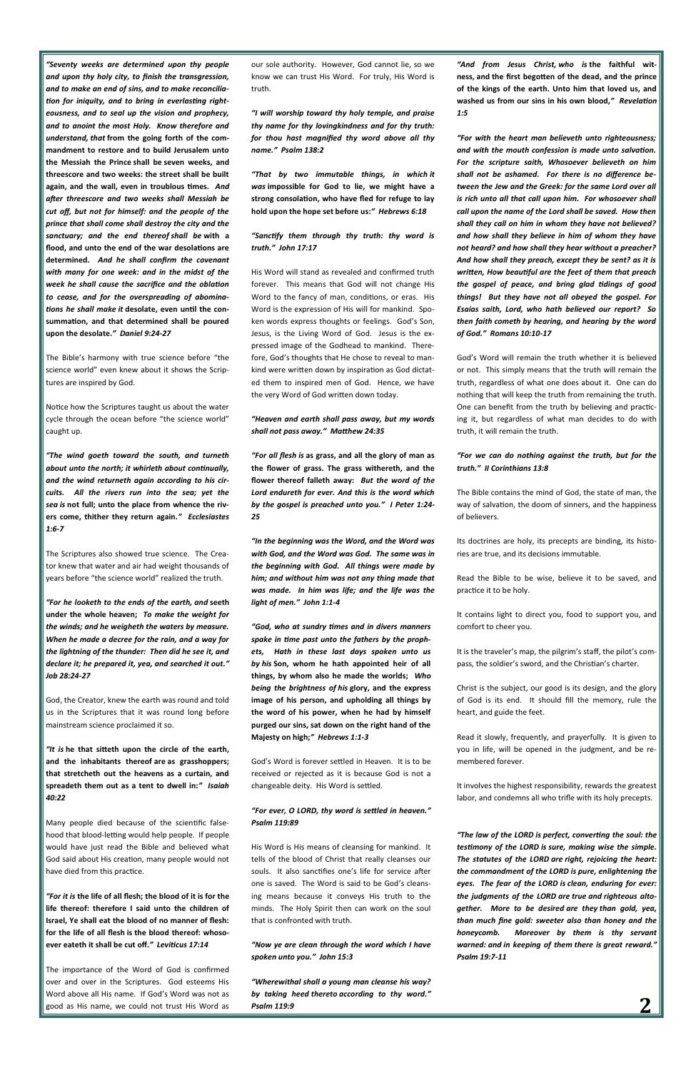**2**

*"[Seventy weeks are determined upon thy people](https://www.kingjamesbibleonline.org/Daniel-9-24/)  [and upon thy holy city, to finish the transgression,](https://www.kingjamesbibleonline.org/Daniel-9-24/)  [and to make an end of sins, and to make reconcilia](https://www.kingjamesbibleonline.org/Daniel-9-24/)[tion for iniquity, and to bring in everlasting right](https://www.kingjamesbibleonline.org/Daniel-9-24/)[eousness, and to seal up the vision and prophecy,](https://www.kingjamesbibleonline.org/Daniel-9-24/)  [and to anoint the most Holy.](https://www.kingjamesbibleonline.org/Daniel-9-24/) [Know therefore and](https://www.kingjamesbibleonline.org/Daniel-9-25/)  understand, that* **[from the going forth of the com](https://www.kingjamesbibleonline.org/Daniel-9-25/)[mandment to restore and to build Jerusalem unto](https://www.kingjamesbibleonline.org/Daniel-9-25/)  [the Messiah the Prince](https://www.kingjamesbibleonline.org/Daniel-9-25/) shall be seven weeks, and [threescore and two weeks: the street shall be built](https://www.kingjamesbibleonline.org/Daniel-9-25/)  [again, and the wall, even in troublous times.](https://www.kingjamesbibleonline.org/Daniel-9-25/)** *[And](https://www.kingjamesbibleonline.org/Daniel-9-26/)  [after threescore and two weeks shall Messiah be](https://www.kingjamesbibleonline.org/Daniel-9-26/)  [cut off, but not for himself: and the people of the](https://www.kingjamesbibleonline.org/Daniel-9-26/)  [prince that shall come shall destroy the city and the](https://www.kingjamesbibleonline.org/Daniel-9-26/)  [sanctuary; and the end thereof](https://www.kingjamesbibleonline.org/Daniel-9-26/) shall be* **with a [flood, and unto the end of the war desolations are](https://www.kingjamesbibleonline.org/Daniel-9-26/)  [determined.](https://www.kingjamesbibleonline.org/Daniel-9-26/)** *[And he shall confirm the covenant](https://www.kingjamesbibleonline.org/Daniel-9-27/)  [with many for one week: and in the midst of the](https://www.kingjamesbibleonline.org/Daniel-9-27/)  [week he shall cause the sacrifice and the oblation](https://www.kingjamesbibleonline.org/Daniel-9-27/)  [to cease, and for the overspreading of abomina](https://www.kingjamesbibleonline.org/Daniel-9-27/)tions he shall make it* **[desolate, even until the con](https://www.kingjamesbibleonline.org/Daniel-9-27/)[summation, and that determined shall be poured](https://www.kingjamesbibleonline.org/Daniel-9-27/)  [upon the desolate.](https://www.kingjamesbibleonline.org/Daniel-9-27/)***" Daniel 9:24-27*

The Bible's harmony with true science before "the science world" even knew about it shows the Scriptures are inspired by God.

Notice how the Scriptures taught us about the water cycle through the ocean before "the science world" caught up.

*"[The wind goeth toward the south, and turneth](https://www.kingjamesbibleonline.org/Ecclesiastes-1-6/)  [about unto the north; it whirleth about continually,](https://www.kingjamesbibleonline.org/Ecclesiastes-1-6/)  [and the wind returneth again according to his cir](https://www.kingjamesbibleonline.org/Ecclesiastes-1-6/)[cuits.](https://www.kingjamesbibleonline.org/Ecclesiastes-1-6/) [All the rivers run into the sea; yet the](https://www.kingjamesbibleonline.org/Ecclesiastes-1-7/)  sea is* **[not full; unto the place from whence the riv](https://www.kingjamesbibleonline.org/Ecclesiastes-1-7/)[ers come, thither they return again.](https://www.kingjamesbibleonline.org/Ecclesiastes-1-7/)***" Ecclesiastes 1:6-7*

The Scriptures also showed true science. The Creator knew that water and air had weight thousands of years before "the science world" realized the truth.

*"[For he looketh to the ends of the earth,](https://www.kingjamesbibleonline.org/Job-28-24/) and* **seeth [under the whole heaven;](https://www.kingjamesbibleonline.org/Job-28-24/)** *[To make the weight for](https://www.kingjamesbibleonline.org/Job-28-25/)  [the winds; and he weigheth the waters by measure.](https://www.kingjamesbibleonline.org/Job-28-25/)  [When he made a decree for the rain, and a way for](https://www.kingjamesbibleonline.org/Job-28-26/)  [the lightning of the thunder:](https://www.kingjamesbibleonline.org/Job-28-26/) [Then did he see it, and](https://www.kingjamesbibleonline.org/Job-28-27/)  [declare it; he prepared it, yea, and searched it out.](https://www.kingjamesbibleonline.org/Job-28-27/)" Job 28:24-27*

God, the Creator, knew the earth was round and told us in the Scriptures that it was round long before mainstream science proclaimed it so.

*"It is* **[he that sitteth upon the circle of the earth,](https://www.kingjamesbibleonline.org/Isaiah-40-22/)  [and the inhabitants thereof](https://www.kingjamesbibleonline.org/Isaiah-40-22/) are as grasshoppers; [that stretcheth out the heavens as a curtain, and](https://www.kingjamesbibleonline.org/Isaiah-40-22/)  [spreadeth them out as a tent to dwell in:](https://www.kingjamesbibleonline.org/Isaiah-40-22/)***" Isaiah 40:22*

Many people died because of the scientific falsehood that blood-letting would help people. If people would have just read the Bible and believed what God said about His creation, many people would not have died from this practice.

*"For it is* **[the life of all flesh; the blood of it](https://www.kingjamesbibleonline.org/Leviticus-17-14/) is for the [life thereof: therefore I said unto the children of](https://www.kingjamesbibleonline.org/Leviticus-17-14/)  [Israel, Ye shall eat the blood of no manner of flesh:](https://www.kingjamesbibleonline.org/Leviticus-17-14/)  for the life of all flesh is [the blood thereof: whoso](https://www.kingjamesbibleonline.org/Leviticus-17-14/)[ever eateth it shall be cut off.](https://www.kingjamesbibleonline.org/Leviticus-17-14/)***" Leviticus 17:14*

approve! *"[Now ye are clean through the word which I have](https://www.kingjamesbibleonline.org/John-15-3/)  [spoken unto you.](https://www.kingjamesbibleonline.org/John-15-3/)" John 15:3*

The importance of the Word of God is confirmed over and over in the Scriptures. God esteems His Word above all His name. If God's Word was not as good as His name, we could not trust His Word as

our sole authority. However, God cannot lie, so we know we can trust His Word. For truly, His Word is truth.

*"[I will worship toward thy holy temple, and praise](https://www.kingjamesbibleonline.org/Psalms-138-2/)  [thy name for thy lovingkindness and for thy truth:](https://www.kingjamesbibleonline.org/Psalms-138-2/)  [for thou hast magnified thy word above all thy](https://www.kingjamesbibleonline.org/Psalms-138-2/)  [name.](https://www.kingjamesbibleonline.org/Psalms-138-2/)" Psalm 138:2*

*"[That by two immutable things, in which](https://www.kingjamesbibleonline.org/Hebrews-6-18/) it was* **[impossible for God to lie, we might have a](https://www.kingjamesbibleonline.org/Hebrews-6-18/)  [strong consolation, who have fled for refuge to lay](https://www.kingjamesbibleonline.org/Hebrews-6-18/)  [hold upon the hope set before us:](https://www.kingjamesbibleonline.org/Hebrews-6-18/)***" Hebrews 6:18*

*"[Sanctify them through thy truth: thy word is](https://www.kingjamesbibleonline.org/John-17-17/)  [truth.](https://www.kingjamesbibleonline.org/John-17-17/)" John 17:17*

His Word will stand as revealed and confirmed truth forever. This means that God will not change His Word to the fancy of man, conditions, or eras. His Word is the expression of His will for mankind. Spoken words express thoughts or feelings. God's Son, Jesus, is the Living Word of God. Jesus is the expressed image of the Godhead to mankind. Therefore, God's thoughts that He chose to reveal to mankind were written down by inspiration as God dictated them to inspired men of God. Hence, we have the very Word of God written down today.

*"[Heaven and earth shall pass away, but my words](https://www.kingjamesbibleonline.org/Matthew-24-35/)  [shall not pass away.](https://www.kingjamesbibleonline.org/Matthew-24-35/)" Matthew 24:35*

*"For all flesh is* **[as grass, and all the glory of man as](https://www.kingjamesbibleonline.org/1-Peter-1-24/)  [the flower of grass. The grass withereth, and the](https://www.kingjamesbibleonline.org/1-Peter-1-24/)  [flower thereof falleth away:](https://www.kingjamesbibleonline.org/1-Peter-1-24/)** *[But the word of the](https://www.kingjamesbibleonline.org/1-Peter-1-25/)  [Lord endureth for ever. And this is the word which](https://www.kingjamesbibleonline.org/1-Peter-1-25/)  [by the gospel is preached unto you.](https://www.kingjamesbibleonline.org/1-Peter-1-25/)" I Peter 1:24- 25*

*"[In the beginning was the Word, and the Word was](https://www.kingjamesbibleonline.org/John-1-1/)  [with God, and the Word was God.](https://www.kingjamesbibleonline.org/John-1-1/) [The same was in](https://www.kingjamesbibleonline.org/John-1-2/)  [the beginning with God.](https://www.kingjamesbibleonline.org/John-1-2/) [All things were made by](https://www.kingjamesbibleonline.org/John-1-3/)  [him; and without him was not any thing made that](https://www.kingjamesbibleonline.org/John-1-3/)  [was made.](https://www.kingjamesbibleonline.org/John-1-3/) [In him was life; and the life was the](https://www.kingjamesbibleonline.org/John-1-4/)  [light of men.](https://www.kingjamesbibleonline.org/John-1-4/)" John 1:1-4*

*"[God, who at sundry times and in divers manners](https://www.kingjamesbibleonline.org/Hebrews-1-1/)  [spake in time past unto the fathers by the proph](https://www.kingjamesbibleonline.org/Hebrews-1-1/)[ets,](https://www.kingjamesbibleonline.org/Hebrews-1-1/) [Hath in these last days spoken unto us](https://www.kingjamesbibleonline.org/Hebrews-1-2/)  by his* **[Son, whom he hath appointed heir of all](https://www.kingjamesbibleonline.org/Hebrews-1-2/)  [things, by whom also he made the worlds;](https://www.kingjamesbibleonline.org/Hebrews-1-2/)** *[Who](https://www.kingjamesbibleonline.org/Hebrews-1-3/)  [being the brightness of](https://www.kingjamesbibleonline.org/Hebrews-1-3/) his* **glory, and the express [image of his person, and upholding all things by](https://www.kingjamesbibleonline.org/Hebrews-1-3/)  [the word of his power, when he had by himself](https://www.kingjamesbibleonline.org/Hebrews-1-3/)  [purged our sins, sat down on the right hand of the](https://www.kingjamesbibleonline.org/Hebrews-1-3/)  [Majesty on high;](https://www.kingjamesbibleonline.org/Hebrews-1-3/)***" Hebrews 1:1-3*

God's Word is forever settled in Heaven. It is to be

received or rejected as it is because God is not a changeable deity. His Word is settled.

#### *"[For ever, O LORD, thy word is settled in heaven.](https://www.kingjamesbibleonline.org/Psalms-119-89/)" Psalm 119:89*

His Word is His means of cleansing for mankind. It tells of the blood of Christ that really cleanses our souls. It also sanctifies one's life for service after one is saved. The Word is said to be God's cleansing means because it conveys His truth to the minds. The Holy Spirit then can work on the soul that is confronted with truth.

*"[Wherewithal shall a young man cleanse his way?](https://www.kingjamesbibleonline.org/Psalms-119-9/)  by taking heed thereto [according to thy word.](https://www.kingjamesbibleonline.org/Psalms-119-9/)" Psalm 119:9*

*"[And from Jesus Christ,](https://www.kingjamesbibleonline.org/Revelation-1-5/) who is* **the faithful witness, and [the first begotten of the dead, and the prince](https://www.kingjamesbibleonline.org/Revelation-1-5/)  [of the kings of the earth. Unto him that loved us, and](https://www.kingjamesbibleonline.org/Revelation-1-5/)  [washed us from our sins in his own blood,](https://www.kingjamesbibleonline.org/Revelation-1-5/)***" Revelation 1:5*

*"[For with the heart man believeth unto righteousness;](https://www.kingjamesbibleonline.org/Romans-10-10/)  [and with the mouth confession is made unto salvation.](https://www.kingjamesbibleonline.org/Romans-10-10/)  [For the scripture saith, Whosoever believeth on him](https://www.kingjamesbibleonline.org/Romans-10-11/)  [shall not be ashamed.](https://www.kingjamesbibleonline.org/Romans-10-11/) [For there is no difference be](https://www.kingjamesbibleonline.org/Romans-10-12/)[tween the Jew and the Greek: for the same Lord over all](https://www.kingjamesbibleonline.org/Romans-10-12/)  [is rich unto all that call upon him.](https://www.kingjamesbibleonline.org/Romans-10-12/) [For whosoever shall](https://www.kingjamesbibleonline.org/Romans-10-13/)  [call upon the name of the Lord shall be saved.](https://www.kingjamesbibleonline.org/Romans-10-13/) [How then](https://www.kingjamesbibleonline.org/Romans-10-14/)  [shall they call on him in whom they have not believed?](https://www.kingjamesbibleonline.org/Romans-10-14/)  [and how shall they believe in him of whom they have](https://www.kingjamesbibleonline.org/Romans-10-14/)  [not heard? and how shall they hear without a preacher?](https://www.kingjamesbibleonline.org/Romans-10-14/)  [And how shall they preach, except they be sent? as it is](https://www.kingjamesbibleonline.org/Romans-10-15/)  [written, How beautiful are the feet of them that preach](https://www.kingjamesbibleonline.org/Romans-10-15/)  [the gospel of peace, and bring glad tidings of good](https://www.kingjamesbibleonline.org/Romans-10-15/)  [things!](https://www.kingjamesbibleonline.org/Romans-10-15/) [But they have not all obeyed the gospel. For](https://www.kingjamesbibleonline.org/Romans-10-16/)  [Esaias saith, Lord, who hath believed our report?](https://www.kingjamesbibleonline.org/Romans-10-16/) [So](https://www.kingjamesbibleonline.org/Romans-10-17/)  then faith cometh [by hearing, and hearing by the word](https://www.kingjamesbibleonline.org/Romans-10-17/)  [of God.](https://www.kingjamesbibleonline.org/Romans-10-17/)" Romans 10:10-17*

God's Word will remain the truth whether it is believed or not. This simply means that the truth will remain the truth, regardless of what one does about it. One can do nothing that will keep the truth from remaining the truth. One can benefit from the truth by believing and practicing it, but regardless of what man decides to do with truth, it will remain the truth.

#### *"[For we can do nothing against the truth, but for the](https://www.kingjamesbibleonline.org/2-Corinthians-13-8/)  [truth.](https://www.kingjamesbibleonline.org/2-Corinthians-13-8/)" II Corinthians 13:8*

The Bible contains the mind of God, the state of man, the way of salvation, the doom of sinners, and the happiness of believers.

Its doctrines are holy, its precepts are binding, its histories are true, and its decisions immutable.

Read the Bible to be wise, believe it to be saved, and practice it to be holy.

It contains light to direct you, food to support you, and comfort to cheer you.

It is the traveler's map, the pilgrim's staff, the pilot's compass, the soldier's sword, and the Christian's charter.

Christ is the subject, our good is its design, and the glory of God is its end. It should fill the memory, rule the heart, and guide the feet.

Read it slowly, frequently, and prayerfully. It is given to you in life, will be opened in the judgment, and be remembered forever.

It involves the highest responsibility, rewards the greatest labor, and condemns all who trifle with its holy precepts.

*"The law of the LORD is [perfect, converting the soul: the](https://www.kingjamesbibleonline.org/Psalms-19-7/)  testimony of the LORD is [sure, making wise the simple.](https://www.kingjamesbibleonline.org/Psalms-19-7/)  The statutes of the LORD are [right, rejoicing the heart:](https://www.kingjamesbibleonline.org/Psalms-19-8/)  [the commandment of the LORD](https://www.kingjamesbibleonline.org/Psalms-19-8/) is pure, enlightening the [eyes.](https://www.kingjamesbibleonline.org/Psalms-19-8/) The fear of the LORD is [clean, enduring for ever:](https://www.kingjamesbibleonline.org/Psalms-19-9/)  [the judgments of the LORD](https://www.kingjamesbibleonline.org/Psalms-19-9/) are true and righteous alto[gether.](https://www.kingjamesbibleonline.org/Psalms-19-9/) [More to be desired](https://www.kingjamesbibleonline.org/Psalms-19-10/) are they than gold, yea, [than much fine gold: sweeter also than honey and the](https://www.kingjamesbibleonline.org/Psalms-19-10/)  [honeycomb.](https://www.kingjamesbibleonline.org/Psalms-19-10/) [Moreover by them is thy servant](https://www.kingjamesbibleonline.org/Psalms-19-11/)  warned: and [in keeping of them](https://www.kingjamesbibleonline.org/Psalms-19-11/) there is great reward." Psalm 19:7-11*

**2**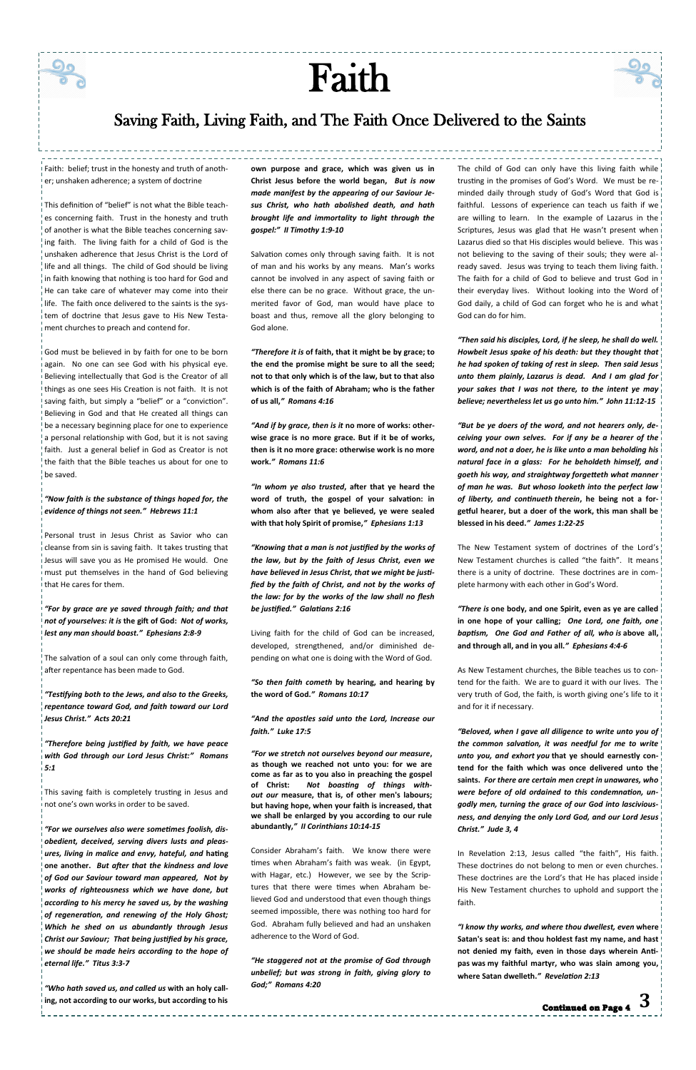Faith: belief; trust in the honesty and truth of another; unshaken adherence; a system of doctrine

This definition of "belief" is not what the Bible teaches concerning faith. Trust in the honesty and truth of another is what the Bible teaches concerning saving faith. The living faith for a child of God is the unshaken adherence that Jesus Christ is the Lord of life and all things. The child of God should be living in faith knowing that nothing is too hard for God and He can take care of whatever may come into their life. The faith once delivered to the saints is the system of doctrine that Jesus gave to His New Testament churches to preach and contend for.

God must be believed in by faith for one to be born again. No one can see God with his physical eye. Believing intellectually that God is the Creator of all things as one sees His Creation is not faith. It is not saving faith, but simply a "belief" or a "conviction". Believing in God and that He created all things can be a necessary beginning place for one to experience a personal relationship with God, but it is not saving faith. Just a general belief in God as Creator is not the faith that the Bible teaches us about for one to be saved.

#### *"[Now faith is the substance of things hoped for, the](https://www.kingjamesbibleonline.org/Hebrews-11-1/)  [evidence of things not seen.](https://www.kingjamesbibleonline.org/Hebrews-11-1/)" Hebrews 11:1*

Personal trust in Jesus Christ as Savior who can cleanse from sin is saving faith. It takes trusting that Jesus will save you as He promised He would. One must put themselves in the hand of God believing that He cares for them.

*"[For by grace are ye saved through faith; and that](https://www.kingjamesbibleonline.org/Ephesians-2-8/)  [not of yourselves:](https://www.kingjamesbibleonline.org/Ephesians-2-8/) it is* **the gift of God:** *[Not of works,](https://www.kingjamesbibleonline.org/Ephesians-2-9/)  [lest any man should boast.](https://www.kingjamesbibleonline.org/Ephesians-2-9/)" Ephesians 2:8-9*

The salvation of a soul can only come through faith, after repentance has been made to God.

*"[Testifying both to the Jews, and also to the Greeks,](https://www.kingjamesbibleonline.org/Acts-20-21/)  [repentance toward God, and faith toward our Lord](https://www.kingjamesbibleonline.org/Acts-20-21/)  [Jesus Christ.](https://www.kingjamesbibleonline.org/Acts-20-21/)" Acts 20:21*

*"[Therefore being justified by faith, we have peace](https://www.kingjamesbibleonline.org/Romans-5-1/)  [with God through our Lord Jesus Christ:](https://www.kingjamesbibleonline.org/Romans-5-1/)" Romans* 

*5:1*

This saving faith is completely trusting in Jesus and not one's own works in order to be saved.

*"[For we ourselves also were sometimes foolish, dis](https://www.kingjamesbibleonline.org/Titus-3-3/)[obedient,](https://www.kingjamesbibleonline.org/Titus-3-3/) deceived, serving divers lusts and pleas[ures, living in malice and envy, hateful,](https://www.kingjamesbibleonline.org/Titus-3-3/) and* **hating [one another.](https://www.kingjamesbibleonline.org/Titus-3-3/)** *[But after that the kindness and love](https://www.kingjamesbibleonline.org/Titus-3-4/)  [of God our Saviour toward man appeared,](https://www.kingjamesbibleonline.org/Titus-3-4/) [Not by](https://www.kingjamesbibleonline.org/Titus-3-5/)  [works of righteousness which we have done, but](https://www.kingjamesbibleonline.org/Titus-3-5/)  [according to his mercy he saved us, by the washing](https://www.kingjamesbibleonline.org/Titus-3-5/)  [of regeneration, and renewing of the Holy Ghost;](https://www.kingjamesbibleonline.org/Titus-3-5/)  [Which he shed on us abundantly through Jesus](https://www.kingjamesbibleonline.org/Titus-3-6/)  [Christ our Saviour;](https://www.kingjamesbibleonline.org/Titus-3-6/) [That being justified by his grace,](https://www.kingjamesbibleonline.org/Titus-3-7/)  [we should be made heirs according to the hope of](https://www.kingjamesbibleonline.org/Titus-3-7/)  [eternal life.](https://www.kingjamesbibleonline.org/Titus-3-7/)" Titus 3:3-7*

*"[Who hath saved us, and called](https://www.kingjamesbibleonline.org/2-Timothy-1-9/) us* **with an holy call[ing, not according to our works, but according to his](https://www.kingjamesbibleonline.org/2-Timothy-1-9/)**  **[own purpose and grace, which was given us in](https://www.kingjamesbibleonline.org/2-Timothy-1-9/)  [Christ Jesus before the world began,](https://www.kingjamesbibleonline.org/2-Timothy-1-9/)** *[But is now](https://www.kingjamesbibleonline.org/2-Timothy-1-10/)  [made manifest by the appearing of our Saviour Je](https://www.kingjamesbibleonline.org/2-Timothy-1-10/)[sus Christ, who hath abolished death, and hath](https://www.kingjamesbibleonline.org/2-Timothy-1-10/)  [brought life and immortality to light through the](https://www.kingjamesbibleonline.org/2-Timothy-1-10/)  [gospel:](https://www.kingjamesbibleonline.org/2-Timothy-1-10/)" II Timothy 1:9-10*

Salvation comes only through saving faith. It is not of man and his works by any means. Man's works cannot be involved in any aspect of saving faith or else there can be no grace. Without grace, the unmerited favor of God, man would have place to boast and thus, remove all the glory belonging to God alone.

*"Therefore it is* **[of faith, that](https://www.kingjamesbibleonline.org/Romans-4-16/) it might be by grace; to [the end the promise might be sure to all the seed;](https://www.kingjamesbibleonline.org/Romans-4-16/)  [not to that only which is of the law, but to that also](https://www.kingjamesbibleonline.org/Romans-4-16/)  [which is of the faith of Abraham; who is the father](https://www.kingjamesbibleonline.org/Romans-4-16/)  [of us all,](https://www.kingjamesbibleonline.org/Romans-4-16/)***" Romans 4:16*

> The New Testament system of doctrines of the Lord's New Testament churches is called "the faith". It means there is a unity of doctrine. These doctrines are in complete harmony with each other in God's Word.

*"And if by grace, then is it* **[no more of works: other](https://www.kingjamesbibleonline.org/Romans-11-6/)[wise grace is no more grace. But if](https://www.kingjamesbibleonline.org/Romans-11-6/) it be of works, [then is it no more grace: otherwise work is no more](https://www.kingjamesbibleonline.org/Romans-11-6/)  [work.](https://www.kingjamesbibleonline.org/Romans-11-6/)***" Romans 11:6*

*"In whom ye also trusted***[, after that ye heard the](https://www.kingjamesbibleonline.org/Ephesians-1-13/)  [word of truth, the gospel of your salvation: in](https://www.kingjamesbibleonline.org/Ephesians-1-13/)  [whom also after that ye believed, ye were sealed](https://www.kingjamesbibleonline.org/Ephesians-1-13/)  [with that holy Spirit of promise,](https://www.kingjamesbibleonline.org/Ephesians-1-13/)***" Ephesians 1:13*

*"[Knowing that a man is not justified by the works of](https://www.kingjamesbibleonline.org/Galatians-2-16/)  [the law, but by the faith of Jesus Christ, even we](https://www.kingjamesbibleonline.org/Galatians-2-16/)  [have believed in Jesus Christ, that we might be justi](https://www.kingjamesbibleonline.org/Galatians-2-16/)[fied by the faith of Christ, and not by the works of](https://www.kingjamesbibleonline.org/Galatians-2-16/)  [the law: for by the works of the law shall no flesh](https://www.kingjamesbibleonline.org/Galatians-2-16/)  [be justified.](https://www.kingjamesbibleonline.org/Galatians-2-16/)" Galatians 2:16*

Living faith for the child of God can be increased, developed, strengthened, and/or diminished depending on what one is doing with the Word of God.

*"So then faith cometh* **[by hearing, and hearing by](https://www.kingjamesbibleonline.org/Romans-10-17/)  [the word of God.](https://www.kingjamesbibleonline.org/Romans-10-17/)***" Romans 10:17*

*"[And the apostles said unto the Lord, Increase our](https://www.kingjamesbibleonline.org/Luke-17-5/)  [faith.](https://www.kingjamesbibleonline.org/Luke-17-5/)" Luke 17:5*

*"[For we stretch not ourselves beyond](https://www.kingjamesbibleonline.org/2-Corinthians-10-14/) our measure***, [as though we reached not unto you: for we are](https://www.kingjamesbibleonline.org/2-Corinthians-10-14/)  [come as far as to you also in](https://www.kingjamesbibleonline.org/2-Corinthians-10-14/) preaching the gospel [of Christ:](https://www.kingjamesbibleonline.org/2-Corinthians-10-14/)** *[Not boasting of things with](https://www.kingjamesbibleonline.org/2-Corinthians-10-15/)out our* **measure, [that is, of other men's labours;](https://www.kingjamesbibleonline.org/2-Corinthians-10-15/)  [but having hope, when your faith is increased, that](https://www.kingjamesbibleonline.org/2-Corinthians-10-15/)  [we shall be enlarged by you according to our rule](https://www.kingjamesbibleonline.org/2-Corinthians-10-15/)  [abundantly,](https://www.kingjamesbibleonline.org/2-Corinthians-10-15/)***" II Corinthians 10:14-15*

Consider Abraham's faith. We know there were times when Abraham's faith was weak. (in Egypt, with Hagar, etc.) However, we see by the Scriptures that there were times when Abraham believed God and understood that even though things seemed impossible, there was nothing too hard for God. Abraham fully believed and had an unshaken adherence to the Word of God.

*"[He staggered not at the promise of God through](https://www.kingjamesbibleonline.org/Romans-4-20/)  [unbelief; but was strong in faith, giving glory to](https://www.kingjamesbibleonline.org/Romans-4-20/)  [God;](https://www.kingjamesbibleonline.org/Romans-4-20/)" Romans 4:20*

----------------------------

The child of God can only have this living faith while trusting in the promises of God's Word. We must be reminded daily through study of God's Word that God is faithful. Lessons of experience can teach us faith if we are willing to learn. In the example of Lazarus in the Scriptures, Jesus was glad that He wasn't present when Lazarus died so that His disciples would believe. This was not believing to the saving of their souls; they were already saved. Jesus was trying to teach them living faith. The faith for a child of God to believe and trust God in their everyday lives. Without looking into the Word of! God daily, a child of God can forget who he is and what God can do for him.

*"[Then said his disciples, Lord, if he sleep, he shall do well.](https://www.kingjamesbibleonline.org/John-11-12/)  [Howbeit Jesus spake of his death: but they thought that](https://www.kingjamesbibleonline.org/John-11-13/)  [he had spoken of taking of rest in sleep.](https://www.kingjamesbibleonline.org/John-11-13/) [Then said Jesus](https://www.kingjamesbibleonline.org/John-11-14/)  [unto them plainly,](https://www.kingjamesbibleonline.org/John-11-14/) Lazarus is dead. And I am glad for [your sakes that I was not there, to the intent ye may](https://www.kingjamesbibleonline.org/John-11-15/)  [believe; nevertheless let us go unto him.](https://www.kingjamesbibleonline.org/John-11-15/)" John 11:12-15*

*"[But be ye doers of the word, and not hearers only, de](https://www.kingjamesbibleonline.org/James-1-22/)[ceiving your own selves.](https://www.kingjamesbibleonline.org/James-1-22/) [For if any be a hearer of the](https://www.kingjamesbibleonline.org/James-1-23/)  [word, and not a doer, he is like unto a man beholding his](https://www.kingjamesbibleonline.org/James-1-23/)  [natural face in a glass:](https://www.kingjamesbibleonline.org/James-1-23/) [For he beholdeth himself, and](https://www.kingjamesbibleonline.org/James-1-24/)  [goeth his way, and straightway forgetteth what manner](https://www.kingjamesbibleonline.org/James-1-24/)  [of man he was.](https://www.kingjamesbibleonline.org/James-1-24/) [But whoso looketh into the perfect law](https://www.kingjamesbibleonline.org/James-1-25/)  [of liberty, and continueth](https://www.kingjamesbibleonline.org/James-1-25/) therein***, he being not a for[getful hearer, but a doer of the work, this man shall be](https://www.kingjamesbibleonline.org/James-1-25/)  [blessed in his deed.](https://www.kingjamesbibleonline.org/James-1-25/)***" James 1:22-25*

*"There is* **[one body, and one Spirit, even as ye are called](https://www.kingjamesbibleonline.org/Ephesians-4-4/)  [in one hope of your calling;](https://www.kingjamesbibleonline.org/Ephesians-4-4/)** *[One Lord, one faith, one](https://www.kingjamesbibleonline.org/Ephesians-4-5/)  [baptism,](https://www.kingjamesbibleonline.org/Ephesians-4-5/) [One God and Father of all, who](https://www.kingjamesbibleonline.org/Ephesians-4-6/) is* **above all, [and through all, and in you all.](https://www.kingjamesbibleonline.org/Ephesians-4-6/)***" Ephesians 4:4-6*

As New Testament churches, the Bible teaches us to contend for the faith. We are to guard it with our lives. The very truth of God, the faith, is worth giving one's life to it! and for it if necessary.

*"[Beloved, when I gave all diligence to write unto you of](https://www.kingjamesbibleonline.org/Jude-1-3/)  [the common salvation, it was needful for me to write](https://www.kingjamesbibleonline.org/Jude-1-3/)  unto you, and exhort you* **[that ye should earnestly con-](https://www.kingjamesbibleonline.org/Jude-1-3/)**

**[tend for the faith which was once delivered unto the](https://www.kingjamesbibleonline.org/Jude-1-3/)  [saints.](https://www.kingjamesbibleonline.org/Jude-1-3/)** *[For there are certain men crept in unawares, who](https://www.kingjamesbibleonline.org/Jude-1-4/)  [were before of old ordained to this condemnation, un](https://www.kingjamesbibleonline.org/Jude-1-4/)[godly men, turning the grace of our God into lascivious](https://www.kingjamesbibleonline.org/Jude-1-4/)[ness, and denying the only Lord God, and our Lord Jesus](https://www.kingjamesbibleonline.org/Jude-1-4/)  [Christ.](https://www.kingjamesbibleonline.org/Jude-1-4/)" Jude 3, 4*

In Revelation 2:13, Jesus called "the faith", His faith. These doctrines do not belong to men or even churches. These doctrines are the Lord's that He has placed inside His New Testament churches to uphold and support the faith.

*"[I know thy works, and where thou dwellest,](https://www.kingjamesbibleonline.org/Revelation-2-13/) even* **where Satan's seat [is: and thou holdest fast my name, and hast](https://www.kingjamesbibleonline.org/Revelation-2-13/)  [not denied my faith, even in those days wherein Anti](https://www.kingjamesbibleonline.org/Revelation-2-13/)pas was [my faithful martyr, who was slain among you,](https://www.kingjamesbibleonline.org/Revelation-2-13/)  [where Satan dwelleth.](https://www.kingjamesbibleonline.org/Revelation-2-13/)***" Revelation 2:13*

# Faith

## Saving Faith, Living Faith, and The Faith Once Delivered to the Saints